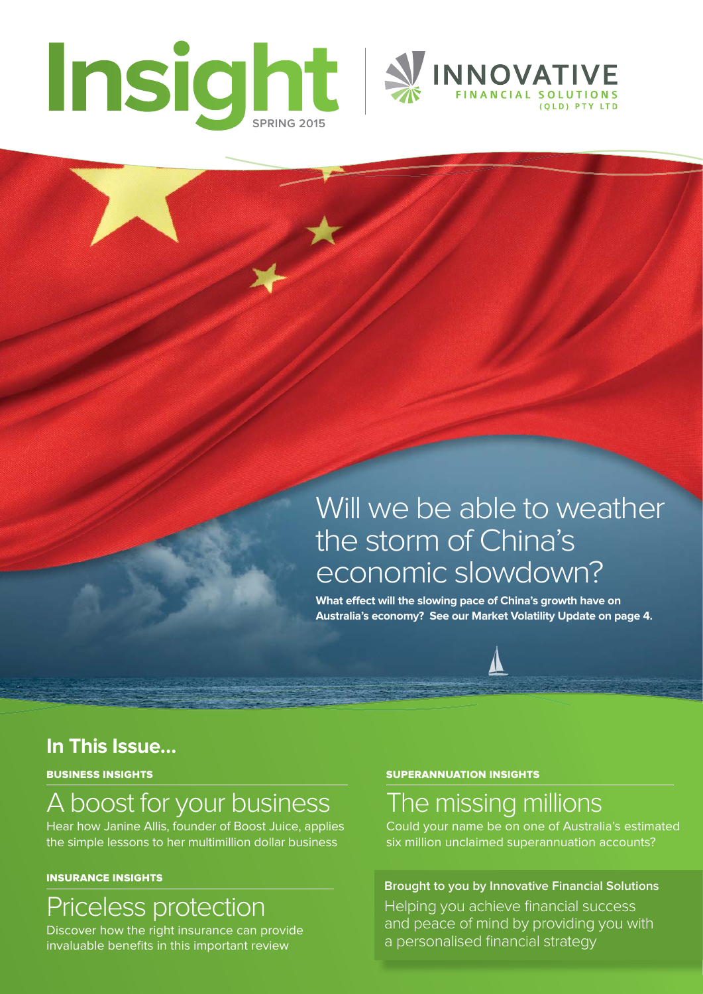



# Will we be able to weather the storm of China's economic slowdown?

What effect will the slowing pace of China's growth have on **Australia's economy? See our Market Volatility Update on page 4.**

## **In This Issue…**

BUSINESS INSIGHTS

# A boost for your business

Hear how Janine Allis, founder of Boost Juice, applies the simple lessons to her multimillion dollar business

#### INSURANCE INSIGHTS

## Priceless protection

Discover how the right insurance can provide invaluable benefits in this important review

#### SUPERANNUATION INSIGHTS

## The missing millions

Could your name be on one of Australia's estimated six million unclaimed superannuation accounts?

## **Brought to you by Innovative Financial Solutions**

Helping you achieve financial success and peace of mind by providing you with a personalised financial strategy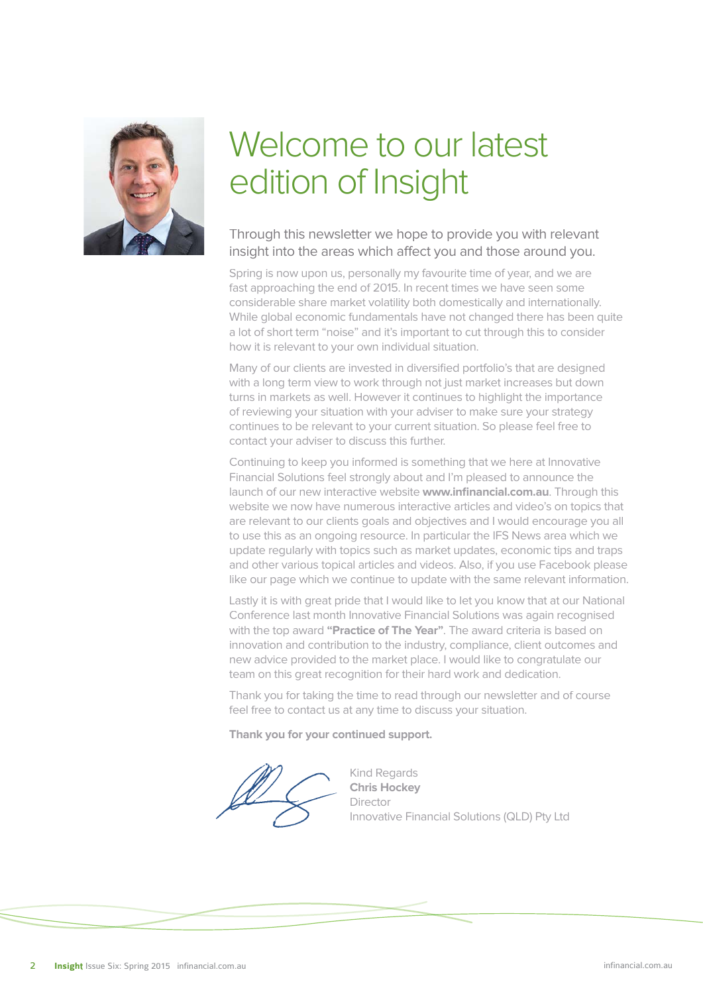

# Welcome to our latest edition of Insight

## Through this newsletter we hope to provide you with relevant insight into the areas which affect you and those around you.

Spring is now upon us, personally my favourite time of year, and we are fast approaching the end of 2015. In recent times we have seen some considerable share market volatility both domestically and internationally. While global economic fundamentals have not changed there has been quite a lot of short term "noise" and it's important to cut through this to consider how it is relevant to your own individual situation.

Many of our clients are invested in diversified portfolio's that are designed with a long term view to work through not just market increases but down turns in markets as well. However it continues to highlight the importance of reviewing your situation with your adviser to make sure your strategy continues to be relevant to your current situation. So please feel free to contact your adviser to discuss this further.

Continuing to keep you informed is something that we here at Innovative Financial Solutions feel strongly about and I'm pleased to announce the launch of our new interactive website **www.infinancial.com.au**. Through this website we now have numerous interactive articles and video's on topics that are relevant to our clients goals and objectives and I would encourage you all to use this as an ongoing resource. In particular the IFS News area which we update regularly with topics such as market updates, economic tips and traps and other various topical articles and videos. Also, if you use Facebook please like our page which we continue to update with the same relevant information.

Lastly it is with great pride that I would like to let you know that at our National Conference last month Innovative Financial Solutions was again recognised with the top award **"Practice of The Year"**. The award criteria is based on innovation and contribution to the industry, compliance, client outcomes and new advice provided to the market place. I would like to congratulate our team on this great recognition for their hard work and dedication.

Thank you for taking the time to read through our newsletter and of course feel free to contact us at any time to discuss your situation.

**Thank you for your continued support.**

Kind Regards **Chris Hockey** Director Innovative Financial Solutions (QLD) Pty Ltd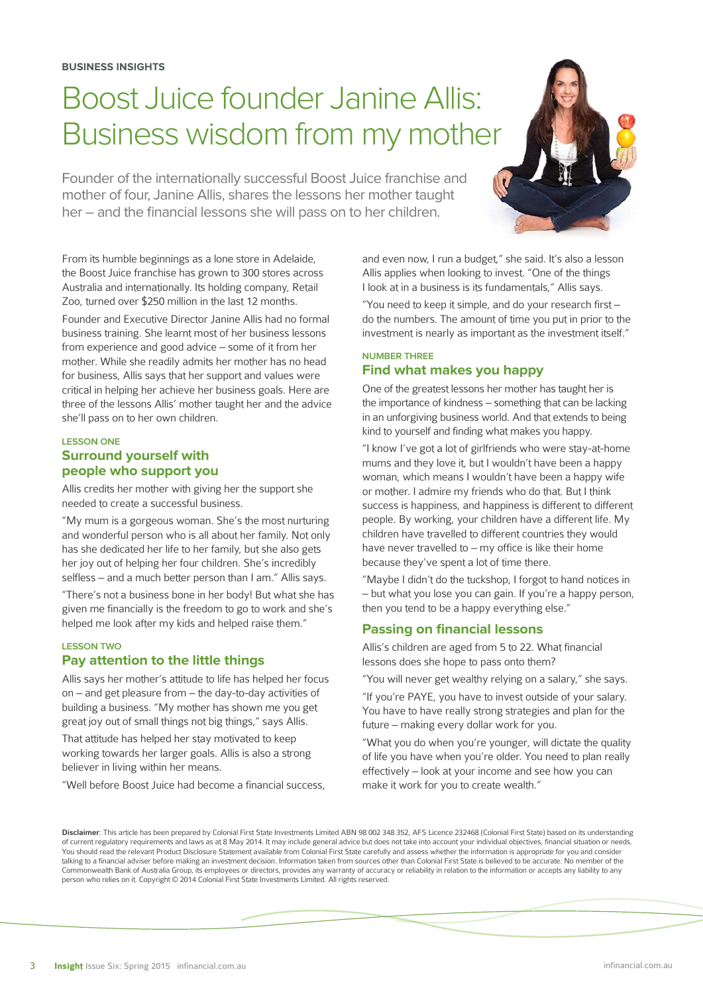# Boost Juice founder Janine Allis: Business wisdom from my mother

Founder of the internationally successful Boost Juice franchise and mother of four, Janine Allis, shares the lessons her mother taught her – and the financial lessons she will pass on to her children.

From its humble beginnings as a lone store in Adelaide, the Boost Juice franchise has grown to 300 stores across Australia and internationally. Its holding company, Retail Zoo, turned over \$250 million in the last 12 months.

Founder and Executive Director Janine Allis had no formal business training. She learnt most of her business lessons from experience and good advice – some of it from her mother. While she readily admits her mother has no head for business, Allis says that her support and values were critical in helping her achieve her business goals. Here are three of the lessons Allis' mother taught her and the advice she'll pass on to her own children.

#### **LESSON ONE Surround yourself with people who support you**

Allis credits her mother with giving her the support she needed to create a successful business.

"My mum is a gorgeous woman. She's the most nurturing and wonderful person who is all about her family. Not only has she dedicated her life to her family, but she also gets her joy out of helping her four children. She's incredibly selfless – and a much better person than I am." Allis says.

"There's not a business bone in her body! But what she has given me financially is the freedom to go to work and she's helped me look after my kids and helped raise them."

## **LESSON TWO**

#### **Pay attention to the little things**

Allis says her mother's attitude to life has helped her focus on – and get pleasure from – the day-to-day activities of building a business. "My mother has shown me you get great joy out of small things not big things," says Allis.

That attitude has helped her stay motivated to keep working towards her larger goals. Allis is also a strong believer in living within her means.

"Well before Boost Juice had become a financial success,

and even now, I run a budget," she said. It's also a lesson Allis applies when looking to invest. "One of the things I look at in a business is its fundamentals," Allis says.

"You need to keep it simple, and do your research first – do the numbers. The amount of time you put in prior to the investment is nearly as important as the investment itself."

#### **NUMBER THREE Find what makes you happy**

One of the greatest lessons her mother has taught her is the importance of kindness – something that can be lacking in an unforgiving business world. And that extends to being kind to yourself and finding what makes you happy.

"I know I've got a lot of girlfriends who were stay-at-home mums and they love it, but I wouldn't have been a happy woman, which means I wouldn't have been a happy wife or mother. I admire my friends who do that. But I think success is happiness, and happiness is different to different people. By working, your children have a different life. My children have travelled to different countries they would have never travelled to – my office is like their home because they've spent a lot of time there.

"Maybe I didn't do the tuckshop, I forgot to hand notices in – but what you lose you can gain. If you're a happy person, then you tend to be a happy everything else."

#### **Passing on financial lessons**

Allis's children are aged from 5 to 22. What financial lessons does she hope to pass onto them?

"You will never get wealthy relying on a salary," she says.

"If you're PAYE, you have to invest outside of your salary. You have to have really strong strategies and plan for the future – making every dollar work for you.

"What you do when you're younger, will dictate the quality of life you have when you're older. You need to plan really effectively – look at your income and see how you can make it work for you to create wealth."

Disclaimer: This article has been prepared by Colonial First State Investments Limited ABN 98 002 348 352, AFS Licence 232468 (Colonial First State) based on its understanding of current regulatory requirements and laws as at 8 May 2014. It may include general advice but does not take into account your individual objectives, financial situation or needs. You should read the relevant Product Disclosure Statement available from Colonial First State carefully and assess whether the information is appropriate for you and consider talking to a financial adviser before making an investment decision. Information taken from sources other than Colonial First State is believed to be accurate. No member of the Commonwealth Bank of Australia Group, its employees or directors, provides any warranty of accuracy or reliability in relation to the information or accepts any liability to any person who relies on it. Copyright © 2014 Colonial First State Investments Limited. All rights reserved.

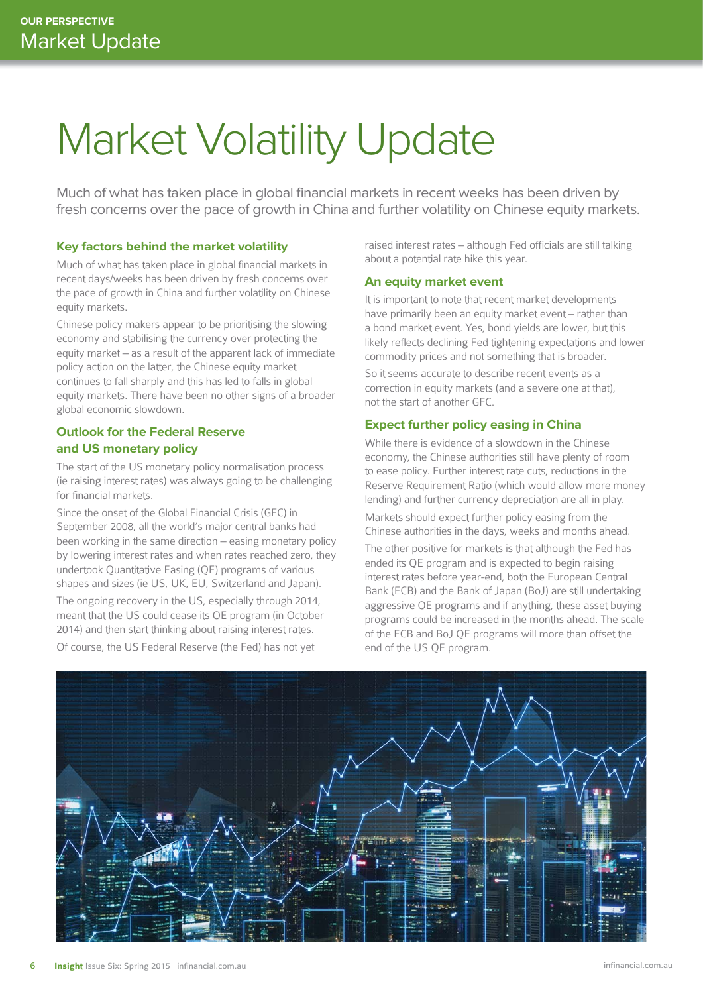# Market Volatility Update

Much of what has taken place in global financial markets in recent weeks has been driven by fresh concerns over the pace of growth in China and further volatility on Chinese equity markets.

#### **Key factors behind the market volatility**

Much of what has taken place in global financial markets in recent days/weeks has been driven by fresh concerns over the pace of growth in China and further volatility on Chinese equity markets.

Chinese policy makers appear to be prioritising the slowing economy and stabilising the currency over protecting the equity market – as a result of the apparent lack of immediate policy action on the latter, the Chinese equity market continues to fall sharply and this has led to falls in global equity markets. There have been no other signs of a broader global economic slowdown.

## **Outlook for the Federal Reserve and US monetary policy**

The start of the US monetary policy normalisation process (ie raising interest rates) was always going to be challenging for financial markets.

Since the onset of the Global Financial Crisis (GFC) in September 2008, all the world's major central banks had been working in the same direction – easing monetary policy by lowering interest rates and when rates reached zero, they undertook Quantitative Easing (QE) programs of various shapes and sizes (ie US, UK, EU, Switzerland and Japan). The ongoing recovery in the US, especially through 2014, meant that the US could cease its QE program (in October 2014) and then start thinking about raising interest rates.

Of course, the US Federal Reserve (the Fed) has not yet

raised interest rates – although Fed officials are still talking about a potential rate hike this year.

#### **An equity market event**

It is important to note that recent market developments have primarily been an equity market event – rather than a bond market event. Yes, bond yields are lower, but this likely reflects declining Fed tightening expectations and lower commodity prices and not something that is broader.

So it seems accurate to describe recent events as a correction in equity markets (and a severe one at that), not the start of another GFC.

#### **Expect further policy easing in China**

While there is evidence of a slowdown in the Chinese economy, the Chinese authorities still have plenty of room to ease policy. Further interest rate cuts, reductions in the Reserve Requirement Ratio (which would allow more money lending) and further currency depreciation are all in play.

Markets should expect further policy easing from the Chinese authorities in the days, weeks and months ahead.

The other positive for markets is that although the Fed has ended its QE program and is expected to begin raising interest rates before year-end, both the European Central Bank (ECB) and the Bank of Japan (BoJ) are still undertaking aggressive QE programs and if anything, these asset buying programs could be increased in the months ahead. The scale of the ECB and BoJ QE programs will more than offset the end of the US QE program.

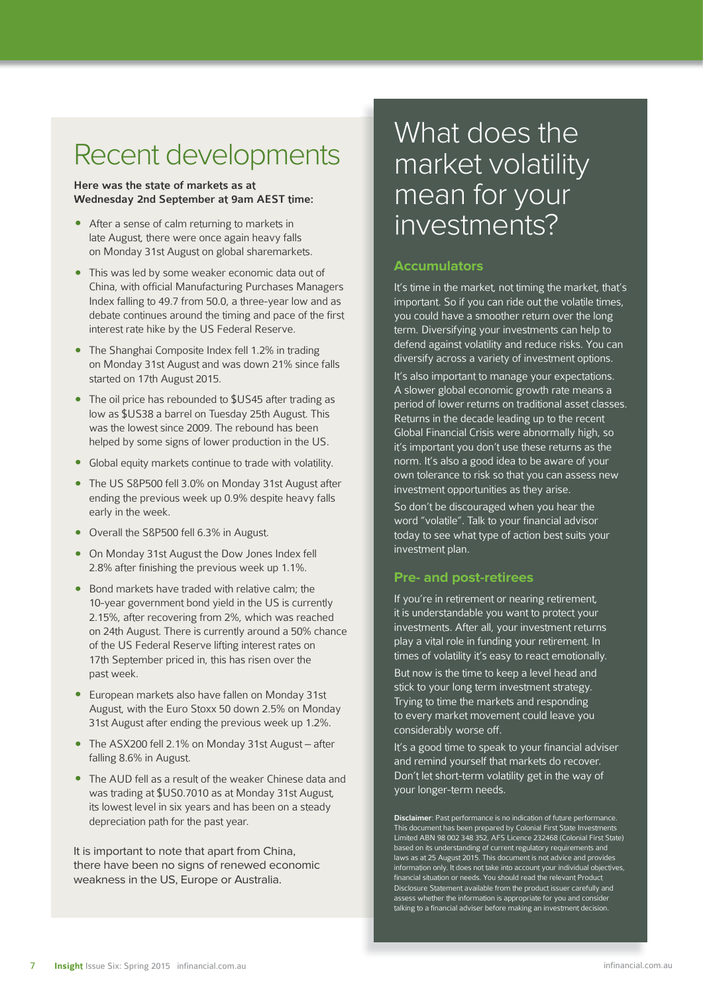## Recent developments

#### Here was the state of markets as at Wednesday 2nd September at 9am AEST time:

- After a sense of calm returning to markets in late August, there were once again heavy falls on Monday 31st August on global sharemarkets.
- This was led by some weaker economic data out of China, with official Manufacturing Purchases Managers Index falling to 49.7 from 50.0, a three-year low and as debate continues around the timing and pace of the first interest rate hike by the US Federal Reserve.
- The Shanghai Composite Index fell 1.2% in trading on Monday 31st August and was down 21% since falls started on 17th August 2015.
- The oil price has rebounded to \$US45 after trading as low as \$US38 a barrel on Tuesday 25th August. This was the lowest since 2009. The rebound has been helped by some signs of lower production in the US.
- Global equity markets continue to trade with volatility.
- The US S&P500 fell 3.0% on Monday 31st August after ending the previous week up 0.9% despite heavy falls early in the week.
- Overall the S&P500 fell 6.3% in August.
- On Monday 31st August the Dow Jones Index fell 2.8% after finishing the previous week up 1.1%.
- Bond markets have traded with relative calm; the 10-year government bond yield in the US is currently 2.15%, after recovering from 2%, which was reached on 24th August. There is currently around a 50% chance of the US Federal Reserve lifting interest rates on 17th September priced in, this has risen over the past week.
- European markets also have fallen on Monday 31st August, with the Euro Stoxx 50 down 2.5% on Monday 31st August after ending the previous week up 1.2%.
- The ASX200 fell 2.1% on Monday 31st August after falling 8.6% in August.
- The AUD fell as a result of the weaker Chinese data and was trading at \$US0.7010 as at Monday 31st August, its lowest level in six years and has been on a steady depreciation path for the past year.

It is important to note that apart from China, there have been no signs of renewed economic weakness in the US, Europe or Australia.

## What does the market volatility mean for your investments?

#### **Accumulators**

It's time in the market, not timing the market, that's important. So if you can ride out the volatile times, you could have a smoother return over the long term. Diversifying your investments can help to defend against volatility and reduce risks. You can diversify across a variety of investment options.

It's also important to manage your expectations. A slower global economic growth rate means a period of lower returns on traditional asset classes. Returns in the decade leading up to the recent Global Financial Crisis were abnormally high, so it's important you don't use these returns as the norm. It's also a good idea to be aware of your own tolerance to risk so that you can assess new investment opportunities as they arise.

So don't be discouraged when you hear the word "volatile". Talk to your financial advisor today to see what type of action best suits your investment plan.

#### **Pre- and post-retirees**

If you're in retirement or nearing retirement, it is understandable you want to protect your investments. After all, your investment returns play a vital role in funding your retirement. In times of volatility it's easy to react emotionally.

But now is the time to keep a level head and stick to your long term investment strategy. Trying to time the markets and responding to every market movement could leave you considerably worse off.

It's a good time to speak to your financial adviser and remind yourself that markets do recover. Don't let short-term volatility get in the way of your longer-term needs.

Disclaimer: Past performance is no indication of future performance. This document has been prepared by Colonial First State Investments Limited ABN 98 002 348 352, AFS Licence 232468 (Colonial First State) based on its understanding of current regulatory requirements and laws as at 25 August 2015. This document is not advice and provides information only. It does not take into account your individual objectives, financial situation or needs. You should read the relevant Product Disclosure Statement available from the product issuer carefully and assess whether the information is appropriate for you and consider talking to a financial adviser before making an investment decision.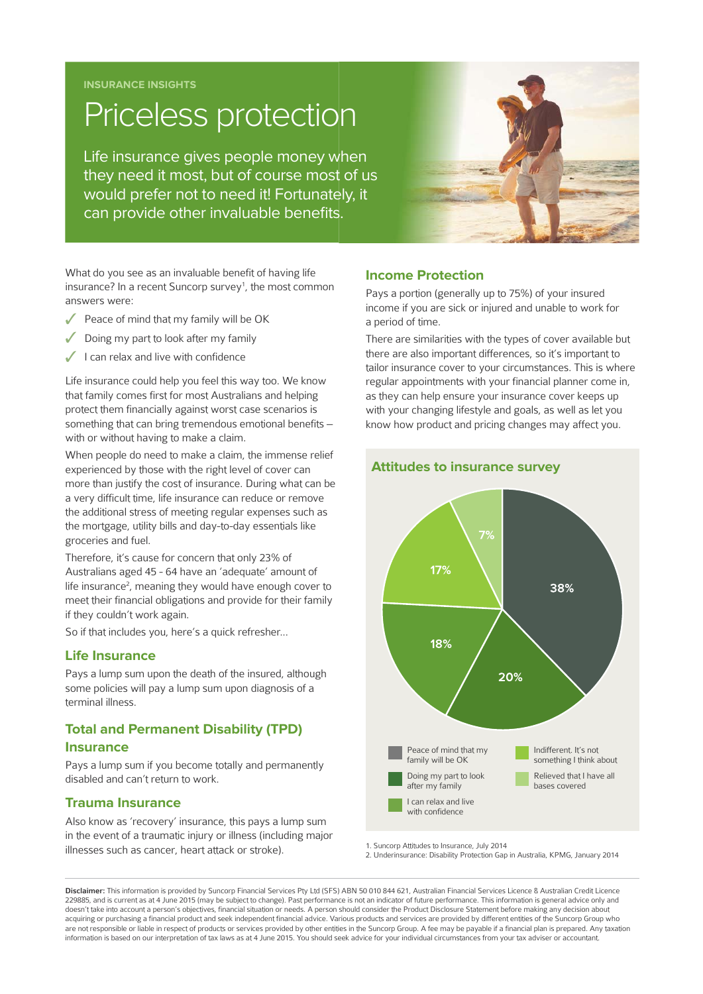**INSURANCE INSIGHTS**

# Priceless protection

Life insurance gives people money when they need it most, but of course most of us would prefer not to need it! Fortunately, it can provide other invaluable benefits.



What do you see as an invaluable benefit of having life insurance? In a recent Suncorp survey<sup>1</sup>, the most common answers were:

- Peace of mind that my family will be OK
- Doing my part to look after my family
- I can relax and live with confidence

Life insurance could help you feel this way too. We know that family comes first for most Australians and helping protect them financially against worst case scenarios is something that can bring tremendous emotional benefits with or without having to make a claim.

When people do need to make a claim, the immense relief experienced by those with the right level of cover can more than justify the cost of insurance. During what can be a very difficult time, life insurance can reduce or remove the additional stress of meeting regular expenses such as the mortgage, utility bills and day-to-day essentials like groceries and fuel.

Therefore, it's cause for concern that only 23% of Australians aged 45 - 64 have an 'adequate' amount of life insurance<sup>2</sup>, meaning they would have enough cover to meet their financial obligations and provide for their family if they couldn't work again.

So if that includes you, here's a quick refresher...

#### **Life Insurance**

Pays a lump sum upon the death of the insured, although some policies will pay a lump sum upon diagnosis of a terminal illness.

## **Total and Permanent Disability (TPD) Insurance**

Pays a lump sum if you become totally and permanently disabled and can't return to work.

#### **Trauma Insurance**

Also know as 'recovery' insurance, this pays a lump sum in the event of a traumatic injury or illness (including major illnesses such as cancer, heart attack or stroke).

#### **Income Protection**

Pays a portion (generally up to 75%) of your insured income if you are sick or injured and unable to work for a period of time.

There are similarities with the types of cover available but there are also important differences, so it's important to tailor insurance cover to your circumstances. This is where regular appointments with your financial planner come in, as they can help ensure your insurance cover keeps up with your changing lifestyle and goals, as well as let you know how product and pricing changes may affect you.



#### **Attitudes to insurance survey**

1. Suncorp Attitudes to Insurance, July 2014

2. Underinsurance: Disability Protection Gap in Australia, KPMG, January 2014

Disclaimer: This information is provided by Suncorp Financial Services Pty Ltd (SFS) ABN 50 010 844 621, Australian Financial Services Licence & Australian Credit Licence 229885, and is current as at 4 June 2015 (may be subject to change). Past performance is not an indicator of future performance. This information is general advice only and doesn't take into account a person's objectives, financial situation or needs. A person should consider the Product Disclosure Statement before making any decision about acquiring or purchasing a financial product and seek independent financial advice. Various products and services are provided by different entities of the Suncorp Group who are not responsible or liable in respect of products or services provided by other entities in the Suncorp Group. A fee may be payable if a financial plan is prepared. Any taxation information is based on our interpretation of tax laws as at 4 June 2015. You should seek advice for your individual circumstances from your tax adviser or accountant.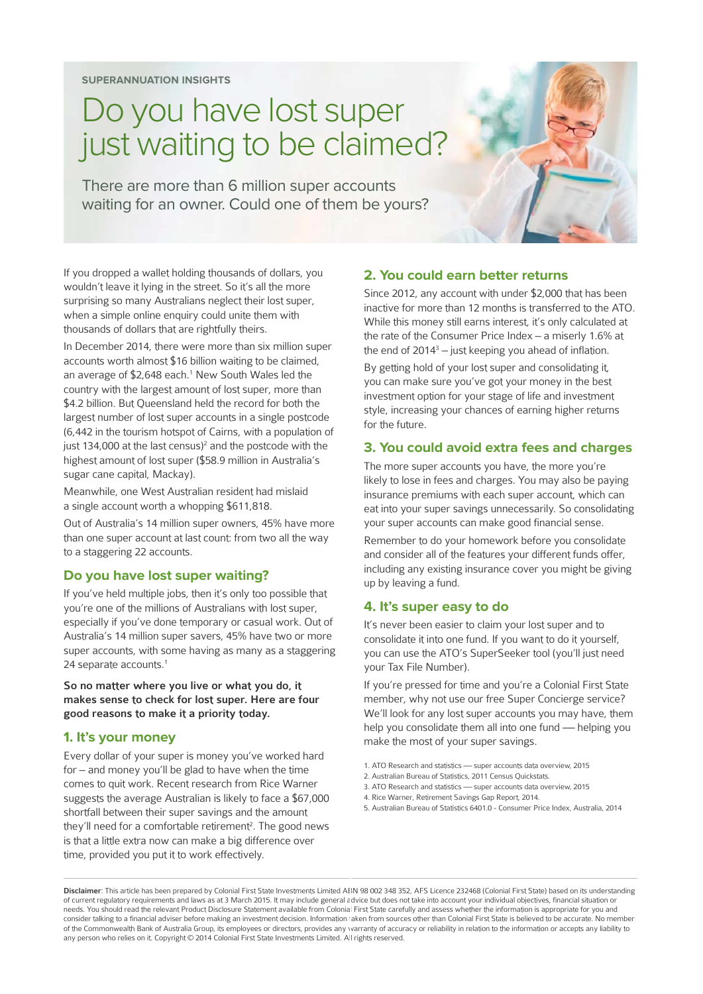# Do you have lost super just waiting to be claimed?

There are more than 6 million super accounts waiting for an owner. Could one of them be yours?

If you dropped a wallet holding thousands of dollars, you wouldn't leave it lying in the street. So it's all the more surprising so many Australians neglect their lost super, when a simple online enquiry could unite them with thousands of dollars that are rightfully theirs.

In December 2014, there were more than six million super accounts worth almost \$16 billion waiting to be claimed, an average of \$2,648 each.<sup>1</sup> New South Wales led the country with the largest amount of lost super, more than \$4.2 billion. But Queensland held the record for both the largest number of lost super accounts in a single postcode (6,442 in the tourism hotspot of Cairns, with a population of just 134,000 at the last census)<sup>2</sup> and the postcode with the highest amount of lost super (\$58.9 million in Australia's sugar cane capital, Mackay).

Meanwhile, one West Australian resident had mislaid a single account worth a whopping \$611,818.

Out of Australia's 14 million super owners, 45% have more than one super account at last count: from two all the way to a staggering 22 accounts.

#### **Do you have lost super waiting?**

If you've held multiple jobs, then it's only too possible that you're one of the millions of Australians with lost super, especially if you've done temporary or casual work. Out of Australia's 14 million super savers, 45% have two or more super accounts, with some having as many as a staggering 24 separate accounts.<sup>1</sup>

So no matter where you live or what you do, it makes sense to check for lost super. Here are four good reasons to make it a priority today.

#### **1. It's your money**

Every dollar of your super is money you've worked hard for – and money you'll be glad to have when the time comes to quit work. Recent research from Rice Warner suggests the average Australian is likely to face a \$67,000 shortfall between their super savings and the amount they'll need for a comfortable retirement<sup>2</sup>. The good news is that a little extra now can make a big difference over time, provided you put it to work effectively.

#### **2. You could earn better returns**

Since 2012, any account with under \$2,000 that has been inactive for more than 12 months is transferred to the ATO. While this money still earns interest, it's only calculated at the rate of the Consumer Price Index – a miserly 1.6% at the end of  $2014<sup>3</sup> -$  just keeping you ahead of inflation.

By getting hold of your lost super and consolidating it, you can make sure you've got your money in the best investment option for your stage of life and investment style, increasing your chances of earning higher returns for the future.

#### **3. You could avoid extra fees and charges**

The more super accounts you have, the more you're likely to lose in fees and charges. You may also be paying insurance premiums with each super account, which can eat into your super savings unnecessarily. So consolidating your super accounts can make good financial sense.

Remember to do your homework before you consolidate and consider all of the features your different funds offer, including any existing insurance cover you might be giving up by leaving a fund.

#### **4. It's super easy to do**

It's never been easier to claim your lost super and to consolidate it into one fund. If you want to do it yourself, you can use the ATO's SuperSeeker tool (you'll just need your Tax File Number).

If you're pressed for time and you're a Colonial First State member, why not use our free Super Concierge service? We'll look for any lost super accounts you may have, them help you consolidate them all into one fund — helping you make the most of your super savings.

- 1. ATO Research and statistics super accounts data overview, 2015
- 2. Australian Bureau of Statistics, 2011 Census Quickstats.
- 3. ATO Research and statistics super accounts data overview, 2015
- 4. Rice Warner, Retirement Savings Gap Report, 2014.
- 5. Australian Bureau of Statistics 6401.0 Consumer Price Index, Australia, 2014

Disclaimer: This article has been prepared by Colonial First State Investments Limited ABN 98 002 348 352, AFS Licence 232468 (Colonial First State) based on its understanding of current regulatory requirements and laws as at 3 March 2015. It may include general advice but does not take into account your individual objectives, financial situation or needs. You should read the relevant Product Disclosure Statement available from Colonial First State carefully and assess whether the information is appropriate for you and consider talking to a financial adviser before making an investment decision. Information taken from sources other than Colonial First State is believed to be accurate. No member of the Commonwealth Bank of Australia Group, its employees or directors, provides any warranty of accuracy or reliability in relation to the information or accepts any liability to any person who relies on it. Copyright © 2014 Colonial First State Investments Limited. All rights reserved.